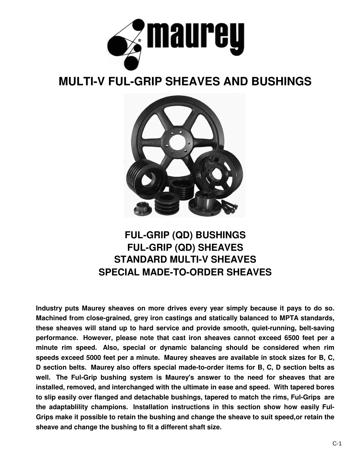

## **MULTI-V FUL-GRIP SHEAVES AND BUSHINGS**



## **FUL-GRIP (QD) BUSHINGS FUL-GRIP (QD) SHEAVES STANDARD MULTI-V SHEAVES SPECIAL MADE-TO-ORDER SHEAVES**

**Industry puts Maurey sheaves on more drives every year simply because it pays to do so. Machined from close-grained, grey iron castings and statically balanced to MPTA standards, these sheaves will stand up to hard service and provide smooth, quiet-running, belt-saving performance. However, please note that cast iron sheaves cannot exceed 6500 feet per a minute rim speed. Also, special or dynamic balancing should be considered when rim speeds exceed 5000 feet per a minute. Maurey sheaves are available in stock sizes for B, C, D section belts. Maurey also offers special made-to-order items for B, C, D section belts as well. The Ful-Grip bushing system is Maurey's answer to the need for sheaves that are installed, removed, and interchanged with the ultimate in ease and speed. With tapered bores to slip easily over flanged and detachable bushings, tapered to match the rims, Ful-Grips are the adaptablility champions. Installation instructions in this section show how easily Ful-Grips make it possible to retain the bushing and change the sheave to suit speed,or retain the sheave and change the bushing to fit a different shaft size.**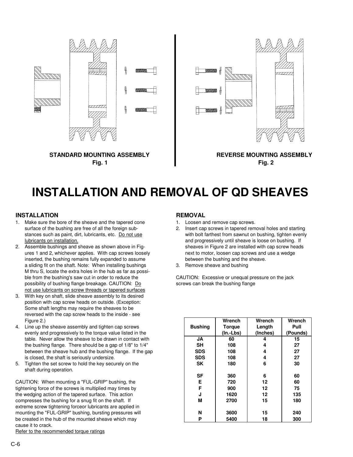

## **INSTALLATION AND REMOVAL OF QD SHEAVES**

### **INSTALLATION REMOVAL**

- 1. Make sure the bore of the sheave and the tapered cone 1. Loosen and remove cap screws. surface of the bushing are free of all the foreign sub-<br>
2. Insert cap screws in tapered removal holes and starting
- ures 1 and 2, whichever applies. With cap screws loosely next to motor, loosen cap screws and use a wedge inserted, the bushing remains fully expanded to assume between the bushing and the sheave. a sliding fit on the shaft. Note: When installing bushings 3. Remove sheave and bushing M thru S, locate the extra holes in the hub as far as possible from the bushing's saw cut in order to reduce the CAUTION: Excessive or unequal pressure on the jack possibility of bushing flange breakage. CAUTION:  $\underline{Do}$  screws can break the bushing flange not use lubricants on screw threads or tapered surfaces
- 3. With key on shaft, slide sheave assembly to its desired position with cap screw heads on outside. (Exception: Some shaft lengths may require the sheaves to be reversed with the cap screw heads to the inside - see
- 4. Line up the sheave assembly and tighten cap screws evenly and progressively to the torque value listed in the table. Never allow the sheave to be drawn in contact with the bushing flange. There should be a gap of 1/8" to 1/4" between the sheave hub and the bushing flange. If the gap is closed, the shaft is seriously undersize.
- 5. Tighten the set screw to hold the key securely on the shaft during operation.

CAUTION: When mounting a "FUL-GRIP" bushing, the tightening force of the screws is multiplied may times by the wedging action of the tapered surface. This action compresses the bushing for a snug fit on the shaft. If extreme screw tightening forceor lubricants are applied in mounting the "FUL-GRIP" bushing, bursting pressures will be created in the hub of the mounted sheave which may cause it to crack.

Refer to the recommended torque ratings

- 
- stances such as paint, dirt, lubricants, etc. Do not use with bolt farthest from sawnut on bushing, tighten evenly lubricants on installation. and progressively until sheave is loose on bushing. If 2. Assemble bushings and sheave as shown above in Fig- sheaves in Figure 2 are installed with cap screw heads
	-

| י טגוטויו טוויט וטפטיט וויטענאט אוייז אסטוט וויט           |                |               |          |          |
|------------------------------------------------------------|----------------|---------------|----------|----------|
| Figure 2.)                                                 |                | Wrench        | Wrench   | Wrench   |
| Line up the sheave assembly and tighten cap screws         | <b>Bushing</b> | <b>Torque</b> | Length   | Pull     |
| evenly and progressively to the torque value listed in the |                | $(In-Lbs)$    | (Inches) | (Pounds) |
| table. Never allow the sheave to be drawn in contact with  | JA             | 60            | 4        | 15       |
| the bushing flange. There should be a gap of 1/8" to 1/4"  | <b>SH</b>      | 108           | 4        | 27       |
| between the sheave hub and the bushing flange. If the gap  | <b>SDS</b>     | 108           | 4        | 27       |
| is closed, the shaft is seriously undersize.               | <b>SDS</b>     | 108           | 4        | 27       |
| Tighten the set screw to hold the key securely on the      | <b>SK</b>      | 180           | 6        | 30       |
| shaft during operation.                                    |                |               |          |          |
|                                                            | SF             | 360           | 6        | 60       |
| ITION: When mounting a "FUL-GRIP" bushing, the             | Е              | 720           | 12       | 60       |
| ening force of the screws is multiplied may times by       |                | 900           | 12       | 75       |
| wedging action of the tapered surface. This action         | J              | 1620          | 12       | 135      |
| presses the bushing for a snug fit on the shaft. If        | M              | 2700          | 15       | 180      |
| eme screw tightening forceor lubricants are applied in     |                |               |          |          |
| nting the "FUL-GRIP" bushing, bursting pressures will      | N              | 3600          | 15       | 240      |
| reated in the hub of the mounted sheave which may          | P              | 5400          | 18       | 300      |
|                                                            |                |               |          |          |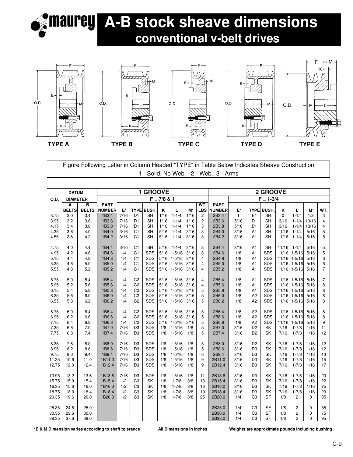

# **A-B stock sheave dimensions conventional v-belt drives**



Figure Following Letter in Column Headed "TYPE" in Table Below Indicates Sheave Construction 1 - Solid, No Web. 2 - Web. 3 - Arms

|                | <b>DATUM</b>    |              |                |              |                                  | 1 GROOVE                 |               |                          |              |                     | 2 GROOVE       |              |                                  |                        |              |                                           |                  |                         |
|----------------|-----------------|--------------|----------------|--------------|----------------------------------|--------------------------|---------------|--------------------------|--------------|---------------------|----------------|--------------|----------------------------------|------------------------|--------------|-------------------------------------------|------------------|-------------------------|
| O.D.           | <b>DIAMETER</b> |              |                |              |                                  |                          | $F = 7/8$ & 1 |                          |              |                     |                |              |                                  | $F = 1 - 3/4$          |              |                                           |                  |                         |
|                | Α               | B            | <b>PART</b>    |              |                                  |                          |               |                          |              | WT.                 | <b>PART</b>    |              |                                  |                        |              |                                           |                  |                         |
|                | <b>BELTS</b>    | <b>BELTS</b> | <b>NUMBER</b>  | E*           |                                  | <b>TYPE BUSH</b>         | Κ             | Г                        | $M^*$        | <b>LBS</b>          | <b>NUMBER</b>  | E*           |                                  | <b>TYPE BUSH.</b>      | Κ            | L                                         | M*               | WT.                     |
| 3.75           | 3.0             | 3.4          | 1B3.4          | 7/16         | D <sub>1</sub>                   | <b>SH</b>                | 1/16          | $1 - 1/4$<br>$1 - 1/4$   | 1/16         | $\overline{c}$      | 2B3.4          | $\mathbf{1}$ | E <sub>1</sub>                   | <b>SH</b>              | $\Omega$     | $1 - 1/4$                                 | $\overline{1/2}$ | 3                       |
| 3.95<br>4.15   | 3.2<br>3.4      | 3.6<br>3.8   | 1B3.6<br>1B3.8 | 7/16<br>7/16 | D <sub>1</sub><br>D <sub>1</sub> | <b>SH</b><br><b>SH</b>   | 1/16<br>1/16  | $1 - 1/4$                | 1/16<br>1/16 | $\overline{c}$<br>3 | 2B3.6<br>2B3.8 | 5/16<br>5/16 | D <sub>1</sub><br>D <sub>1</sub> | <b>SH</b><br><b>SH</b> | 3/16<br>3/16 | $1 - 1/4$<br>$1 - 1/4$                    | 13/16<br>13/16   | $\overline{\mathbf{4}}$ |
| 4.35           | 3.6             | 4.0          | 1B4.0          | 3/16         | C <sub>1</sub>                   | <b>SH</b>                | 5/16          | $1 - 1/4$                | 3/16         | 3                   | 2B4.0          | 3/16         | A1                               | <b>SH</b>              | 11/16        | $1 - 1/4$                                 | 5/16             | 4<br>5                  |
| 4.55           | 3.8             | 4.2          | 1B4.2          | 3/16         | C <sub>1</sub>                   | <b>SH</b>                | 5/16          | $1 - 1/4$                | 3/16         | 3                   | 2B4.2          | 3/16         | A1                               | SH                     | 11/16        | $1 - 1/4$                                 | 5/16             | 5                       |
|                |                 |              |                |              |                                  |                          |               |                          |              |                     |                |              |                                  |                        |              |                                           |                  |                         |
| 4.75           | 4.0             | 4.4          | 1B4.4          | 3/16         | C <sub>1</sub>                   | <b>SH</b>                | 5/16          | $1 - 1/4$                | 3/16         | 3                   | 2B4.4          | 3/16         | A1                               | <b>SH</b>              | 11/16        | $1 - 1/4$                                 | 5/16             | 5                       |
| 4.95           | 4.2             | 4.6          | 1B4.6          | 1/4          | C <sub>1</sub>                   | <b>SDS</b>               | 5/16          | $1 - 5/16$               | 3/16         | 3                   | 2B4.6          | 1/8          | A <sub>1</sub>                   | <b>SDS</b>             | 11/16        | $1 - 5/16$                                | 5/16             | 5                       |
| 5.15           | 4.4             | 4.8          | 1B4.8          | 1/4          | C <sub>1</sub>                   | SDS                      | 5/16          | $1 - 5/16$               | 3/16         | 4                   | 2B4.8          | 1/8          | A <sub>1</sub>                   | SDS                    | 11/16        | $1 - 5/16$                                | 5/16             | 6                       |
| 5.35           | 4.6             | 5.0          | 1B5.0          | 1/4          | C <sub>1</sub>                   | <b>SDS</b>               | 5/16          | $1 - 5/16$               | 3/16         | 4                   | 2B5.0          | 1/8          | A <sub>1</sub>                   | SDS                    | 11/16        | $1 - 5/16$                                | 5/16             | 6                       |
| 5.55           | 4.8             | 5.2          | 1B5.2          | 1/4          | C <sub>1</sub>                   | <b>SDS</b>               | 5/16          | $1 - 5/16$               | 3/16         | 4                   | 2B5.2          | 1/8          | A <sub>1</sub>                   | SDS                    | 11/16        | $1 - 5/16$                                | 5/16             | $\overline{7}$          |
|                |                 |              |                |              |                                  |                          |               |                          |              |                     |                |              |                                  |                        |              |                                           |                  |                         |
| 5.75           | 5.0             | 5.4          | 1B5.4          | 1/4          | C <sub>2</sub>                   | <b>SDS</b>               | 5/16          | $1 - 5/16$               | 3/16         | 4                   | 2B5.4          | 1/8          | A <sub>1</sub>                   | SDS                    | 11/16        | $1 - 5/16$                                | 5/16             | $\overline{7}$          |
| 5.95           | 5.2             | 5.6          | 1B5.6          | 1/4          | C <sub>2</sub>                   | <b>SDS</b>               | 5/16          | $1 - 5/16$               | 3/16         | 4                   | 2B5.6          | 1/8          | A <sub>1</sub>                   | <b>SDS</b>             | 11/16        | $1 - 5/16$                                | 5/16             | 8                       |
| 6.15           | 5.4             | 5.8          | 1B5.8          | 1/4          | C <sub>2</sub>                   | SDS                      | 5/16          | $1 - 5/16$               | 3/16         | 5                   | 2B5.8          | 1/8          | A <sub>1</sub>                   | SDS                    | 11/16        | $1 - 5/16$                                | 5/16             | 8                       |
| 6.35           | 5.6             | 6.0          | 1B6.0          | 1/4          | C <sub>2</sub>                   | <b>SDS</b>               | 5/16          | $1 - 5/16$               | 3/16         | 5                   | 2B6.0          | 1/8          | A <sub>2</sub>                   | SDS                    | 11/16        | $1 - 5/16$                                | 5/16             | 8                       |
| 6.55           | 5.8             | 6.2          | 1B6.2          | 1/4          | C <sub>2</sub>                   | <b>SDS</b>               | 5/16          | $1 - 5/16$               | 3/16         | 5                   | 2B6.2          | 1/8          | A <sub>2</sub>                   | SDS                    | 11/16        | $1 - 5/16$                                | 5/16             | 8                       |
|                |                 |              |                |              |                                  |                          |               |                          |              |                     |                |              |                                  |                        |              |                                           |                  |                         |
| 6.75           | 6.0             | 6.4          | 1B6.4<br>1B6.6 | 1/4<br>1/4   | C <sub>2</sub><br>C <sub>2</sub> | <b>SDS</b><br><b>SDS</b> | 5/16<br>5/16  | $1 - 5/16$<br>$1 - 5/16$ | 3/16<br>3/16 | 5                   | 2B6.4<br>2B6.6 | 1/8<br>1/8   | A2<br>A <sub>2</sub>             | SDS<br>SDS             | 11/16        | 11/16 1-5/16<br>$1 - 5/16$                | 5/16<br>5/16     | 8                       |
| 6.95<br>7.15   | 6.2<br>6.4      | 6.6<br>6.8   | 1B6.8          | 1/4          | C <sub>2</sub>                   | <b>SDS</b>               | 5/16          | $1 - 5/16$               | 3/16         | 5<br>5              | 2B6.8          | 1/8          | A <sub>2</sub>                   | SDS                    | 11/16        | $1 - 5/16$                                | 5/16             | 8<br>9                  |
| 7.35           | 6.6             | 7.0          | 1B7.0          | 7/16         | D <sub>3</sub>                   | <b>SDS</b>               | 1/8           | $1 - 5/16$               | 1/8          | 5                   | 2B7.0          | 3/16         | D <sub>2</sub>                   | <b>SK</b>              | 7/16         | $1 - 7/8$                                 | 1/16             | 11                      |
| 7.75           | 6.8             | 7.4          | 1B7.4          | 7/16         | D <sub>3</sub>                   | <b>SDS</b>               | 1/8           | $1 - 5/16$               | 1/8          | 5                   | 2B7.4          | 3/16         | D <sub>2</sub>                   | SK                     | 7/16         | $1 - 7/8$                                 | 1/16             | 12                      |
|                |                 |              |                |              |                                  |                          |               |                          |              |                     |                |              |                                  |                        |              |                                           |                  |                         |
| 8.35           | 7.6             | 8.0          | 1B8.0          | 7/16         | D <sub>3</sub>                   | <b>SDS</b>               | 1/8           | $1 - 5/16$               | 1/8          | 5                   | 2B8.0          | 3/16         | D <sub>2</sub>                   | <b>SK</b>              | 7/16         | $1 - 7/8$                                 | 1/16             | 12                      |
| 8.95           | 8.2             | 8.6          | 1B8.6          | 7/16         | D <sub>3</sub>                   | <b>SDS</b>               | 1/8           | $1 - 5/16$               | 1/8          | 5                   | 2B8.6          | 3/16         | D <sub>3</sub>                   | SK                     | 7/16         | $1 - 7/8$                                 | 1/16             | 12                      |
| 9.75           | 9.0             | 9.4          | 1B9.4          | 7/16         | D <sub>3</sub>                   | <b>SDS</b>               | 1/8           | $1 - 5/16$               | 1/8          | 6                   | 2B9.4          | 3/16         | D <sub>3</sub>                   | SK                     | 7/16         | $1 - 7/8$                                 | 1/16             | 13                      |
| 11.35          | 10.6            | 11.0         | 1B11.0         | 7/16         | D <sub>3</sub>                   | <b>SDS</b>               | 1/8           | $1 - 5/16$               | 1/8          | 9                   | 2B11.0         | 3/16         | D <sub>3</sub>                   | SK                     | 7/16         | $1 - 7/8$                                 | 1/16             | 15                      |
| 12.75          | 12.0            | 12.4         | 1B12.4         | 7/16         | D <sub>3</sub>                   | SDS                      | 1/8           | $1 - 5/16$               | 1/8          | 9                   | 2B12.4         | 3/16         | D <sub>3</sub>                   | <b>SK</b>              | 7/16         | $1 - 7/8$                                 | 1/16             | 17                      |
|                |                 |              |                |              |                                  |                          |               |                          |              |                     |                |              |                                  |                        |              |                                           |                  |                         |
| 13.95          | 13.2            | 13.6         | 1B13.6         | 7/16         | D <sub>3</sub>                   | <b>SDS</b>               | 1/8           | $1 - 5/16$               | 1/8          | 11                  | 2B13.6         | 3/16         | D <sub>3</sub>                   | SK                     | 7/16         | $1 - 7/8$                                 | 1/16             | 20                      |
| 15.75          | 15.0            | 15.4         | 1B15.4         | 1/2          | C <sub>3</sub>                   | SK                       | 1/8           | $1 - 7/8$                | 3/8          | 13                  | 2B15.4         | 3/16         | D <sub>3</sub>                   | <b>SK</b>              | 7/16         | $1 - 7/8$                                 | 1/16             | 22                      |
| 16.35          | 15.6            | 16.0         | 1B16.0         | 1/2          | C <sub>3</sub>                   | SK                       | 1/8           | $1 - 7/8$                | 3/8          | 16                  | 2B16.0         | 3/16         | D <sub>3</sub>                   | SK                     | 7/16         | $1 - 7/8$                                 | 1/16             | 25                      |
| 18.75          | 18.0            | 18.4         | 1B18.4         | 1/2          | C <sub>3</sub>                   | SK                       | 1/8           | $1 - 7/8$                | 3/8          | 19                  | 2B18.4         | 3/16         | D <sub>3</sub>                   | SK                     | 7/16         | $1 - 7/8$                                 | 1/16             | 29                      |
| 20.35          | 19.6            | 20.0         | 1B20.0         | 1/2          | C <sub>3</sub>                   | <b>SK</b>                | 1/8           | $1 - 7/8$                | 3/8          | 25                  | 2B20.0         | 1/4          | C <sub>3</sub>                   | <b>SF</b>              | 1/8          | $\overline{2}$                            | $\Omega$         | 35                      |
|                | 24.6            | 25.0         |                |              |                                  |                          |               |                          |              |                     | 2B25.0         | 1/4          | C <sub>3</sub>                   | <b>SF</b>              | 1/8          |                                           | 0                |                         |
| 25.35<br>30.35 | 29.6            | 30.0         |                |              |                                  |                          |               |                          |              |                     | 2B30.0         | 1/4          | C <sub>3</sub>                   | <b>SF</b>              | 1/8          | $\overline{\mathbf{c}}$<br>$\overline{c}$ | 0                | 55<br>75                |
| 38.35          | 37.6            | 38.0         |                |              |                                  |                          |               |                          |              |                     | 2B38.0         | 1/4          | C <sub>3</sub>                   | <b>SF</b>              | 1/8          | $\overline{2}$                            | $\Omega$         | 95                      |
|                |                 |              |                |              |                                  |                          |               |                          |              |                     |                |              |                                  |                        |              |                                           |                  |                         |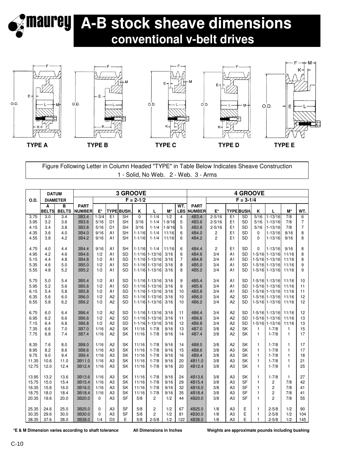



### Figure Following Letter in Column Headed "TYPE" in Table Below Indicates Sheave Construction 1 - Solid, No Web. 2 - Web. 3 - Arms

|              | 3 GROOVE<br><b>DATUM</b> |                 |                  |              |                                  |                                       |                  |                                      |                          |                         |                | <b>4 GROOVE</b>    |                      |                        |                           |                                        |                  |                     |  |  |
|--------------|--------------------------|-----------------|------------------|--------------|----------------------------------|---------------------------------------|------------------|--------------------------------------|--------------------------|-------------------------|----------------|--------------------|----------------------|------------------------|---------------------------|----------------------------------------|------------------|---------------------|--|--|
| O.D.         |                          | <b>DIAMETER</b> |                  |              |                                  |                                       | $F = 2 - 1/2$    |                                      |                          |                         |                |                    |                      | $F = 3-1/4$            |                           |                                        |                  |                     |  |  |
|              | A                        | B               | <b>PART</b>      |              |                                  |                                       |                  |                                      |                          | WT.                     | <b>PART</b>    |                    |                      |                        |                           |                                        |                  |                     |  |  |
|              | <b>BELTS</b>             | <b>BELTS</b>    | <b>NUMBER</b>    | $E^*$        |                                  | <b>TYPE BUSH</b>                      | K                | L                                    | $M^*$                    | <b>LBS</b>              | <b>NUMBER</b>  | $\mathsf{E}^\star$ |                      | <b>TYPE BUSH</b>       | K                         | L                                      | $M^*$            | WT.                 |  |  |
| 3.75         | 3.0<br>3.2               | 3.4             | 3B3.4            | $1 - 3/4$    | E1                               | $\overline{\mathsf{SH}}$<br><b>SH</b> | $\Omega$<br>3/16 | $1 - 1/4$                            | 1/2                      | $\overline{\mathbf{4}}$ | 4B3.4<br>4B3.6 | $2 - 5/16$         | E1<br>E1             | <b>SD</b><br><b>SD</b> | $\frac{1}{5}{16}$<br>5/16 | $1 - 13/16$                            | $\overline{7/8}$ | 6<br>$\overline{7}$ |  |  |
| 3.95<br>4.15 | 3.4                      | 3.6<br>3.8      | 3B3.6<br>3B3.8   | 5/16<br>5/16 | D <sub>1</sub><br>D <sub>1</sub> | <b>SH</b>                             | 3/16             | $1 - 1/4$<br>$1 - 1/4$               | $1 - 9/16$<br>$1 - 9/16$ | 5<br>5                  | 4B3.8          | $2 - 5/16$         | E1                   | SD                     | 5/16                      | $1 - 13/16$<br>$1 - 13/16$             | 7/8<br>7/8       | $\overline{7}$      |  |  |
| 4.35         | 3.6                      | 4.0             | 3B4.0            | 9/16         | A <sub>1</sub>                   | <b>SH</b>                             | $1 - 1/16$       | $1 - 1/4$                            | 11/16                    | 6                       | 4B4.0          | $2 - 5/16$<br>2    | E1                   | <b>SD</b>              | $\Omega$                  | $1 - 13/16$                            | 9/16             | 8                   |  |  |
| 4.55         | 3.8                      | 4.2             | 3B4.2            | 9/16         | A1                               | <b>SH</b>                             | $1 - 1/16$       | $1 - 1/4$                            | 11/16                    | 6                       | 4B4.2          | $\overline{2}$     | E1                   | <b>SD</b>              | $\Omega$                  | $1 - 13/16$                            | 9/16             | 8                   |  |  |
|              |                          |                 |                  |              |                                  |                                       |                  |                                      |                          |                         |                |                    |                      |                        |                           |                                        |                  |                     |  |  |
| 4.75         | 4.0                      | 4.4             | 3B4.4            | 9/16         | A <sub>1</sub>                   | <b>SH</b>                             | $1 - 1/16$       | $1 - 1/4$                            | 11/16                    | 6                       | 4B4.4          | $\overline{c}$     | E <sub>1</sub>       | <b>SD</b>              | $\Omega$                  | $1 - 13/16$                            | 9/16             | 8                   |  |  |
| 4.95         | 4.2                      | 4.6             | 3B4.6            | 1/2          | A1                               | <b>SD</b>                             |                  | $1-1/16$ 1-13/16                     | 3/16                     | 6                       | 4B4.6          | 3/4                | A1                   | <b>SD</b>              |                           | 1-5/16 1-13/16                         | 11/16            | 8                   |  |  |
| 5.15         | 4.4                      | 4.8             | 3B4.8            | 1/2          | A1                               | <b>SD</b>                             |                  | $1-1/16$ 1-13/16                     | 3/16                     | $\overline{7}$          | 4B4.8          | 3/4                | A <sub>1</sub>       | <b>SD</b>              |                           | 1-5/16 1-13/16                         | 11/16            | 8                   |  |  |
| 5.35         | 4.6                      | 5.0             | 3B5.0            | 1/2          | A <sub>1</sub>                   | <b>SD</b>                             |                  | $1-1/16$ 1-13/16                     | 3/16                     | 8                       | 4B5.0          | 3/4                | A1                   | <b>SD</b>              |                           | $1-5/16$ 1-13/16                       | 11/16            | 9                   |  |  |
| 5.55         | 4.8                      | 5.2             | 3B5.2            | 1/2          | A1                               | <b>SD</b>                             |                  | $1-1/16$ 1-13/16                     | 3/16                     | 8                       | 4B5.2          | 3/4                | A <sub>1</sub>       | <b>SD</b>              |                           | 1-5/16 1-13/16                         | 11/16            | 9                   |  |  |
|              |                          |                 |                  |              |                                  |                                       |                  |                                      |                          |                         |                |                    |                      |                        |                           |                                        |                  |                     |  |  |
| 5.75         | 5.0                      | 5.4             | 3B5.4            | 1/2          | A1                               | <b>SD</b>                             |                  | $1-1/16$ 1-13/16                     | 3/16                     | 9                       | 4B5.4          | 3/4                | A <sub>1</sub>       | SD                     |                           | 1-5/16 1-13/16                         | 11/16            | 10                  |  |  |
| 5.95         | 5.2                      | 5.6             | 3B5.6            | 1/2          | A1                               | <b>SD</b>                             |                  | $1-1/16$ 1-13/16                     | 3/16                     | 9                       | 4B5.6          | 3/4                | A1                   | <b>SD</b>              |                           | 1-5/16 1-13/16                         | 11/16            | 11                  |  |  |
| 6.15         | 5.4                      | 5.8             | 3B5.8            | 1/2          | A1                               | <b>SD</b>                             |                  | $1-1/16$ 1-13/16                     | 3/16                     | 10                      | 4B5.8          | 3/4                | A <sub>1</sub>       | <b>SD</b>              |                           | $1-5/16$ 1-13/16                       | 11/16            | 11                  |  |  |
| 6.35         | 5.6                      | 6.0             | 3B6.0            | 1/2          | A2                               | <b>SD</b>                             |                  | 1-1/16 1-13/16                       | 3/16                     | 10                      | 4B6.0          | 3/4                | A2                   | <b>SD</b>              |                           | 1-5/16 1-13/16                         | 11/16            | 12                  |  |  |
| 6.55         | 5.8                      | 6.2             | 3B6.2            | 1/2          | A2                               | <b>SD</b>                             |                  | $1-1/16$ 1-13/16                     | 3/16                     | 10                      | 4B6.2          | 3/4                | A2                   | SD                     |                           | 1-5/16 1-13/16                         | 11/16            | 12                  |  |  |
|              |                          |                 |                  |              |                                  |                                       |                  |                                      |                          |                         |                |                    |                      |                        |                           |                                        |                  |                     |  |  |
| 6.75         | 6.0<br>6.2               | 6.4             | 3B6.4<br>3B6.6   | 1/2<br>1/2   | A <sub>2</sub><br>A2             | <b>SD</b><br><b>SD</b>                |                  | $1-1/16$ 1-13/16<br>$1-1/16$ 1-13/16 | 3/16<br>3/16             | 11                      | 4B6.4<br>4B6.6 | 3/4<br>3/4         | A <sub>2</sub><br>A2 | SD<br><b>SD</b>        |                           | 1-5/16 1-13/16 11/16<br>1-5/16 1-13/16 | 11/16            | 12                  |  |  |
| 6.95<br>7.15 | 6.4                      | 6.6<br>6.8      | 3B6.8            | 1/2          | A <sub>2</sub>                   | <b>SD</b>                             |                  | $1-1/16$ 1-13/16                     | 3/16                     | 11<br>12                | 4B6.8          | 3/4                | A <sub>2</sub>       | SD                     |                           | 1-5/16 1-13/16                         | 11/16            | 13<br>13            |  |  |
| 7.35         | 6.6                      | 7.0             | 3B7.0            | 1/16         | A2                               | SK                                    | 11/16            | $1 - 7/8$                            | 9/16                     | 13                      | 4B7.0          | 3/8                | A2                   | SK                     | 1                         | $1 - 7/8$                              | $\mathbf{1}$     | 15                  |  |  |
| 7.75         | 6.8                      | 7.4             | 3B7.4            | 1/16         | A <sub>2</sub>                   | SK                                    | 11/16            | $1 - 7/8$                            | 9/16                     | 14                      | 4B7.4          | 3/8                | A <sub>2</sub>       | SK                     | $\mathbf{1}$              | $1 - 7/8$                              | $\mathbf{1}$     | 17                  |  |  |
|              |                          |                 |                  |              |                                  |                                       |                  |                                      |                          |                         |                |                    |                      |                        |                           |                                        |                  |                     |  |  |
| 8.35         | 7.6                      | 8.0             | 3B8.0            | 1/16         | A2                               | <b>SK</b>                             | 11/16            | $1 - 7/8$                            | 9/16                     | 14                      | 4B8.0          | 3/8                | A2                   | SK                     | $\mathbf{1}$              | $1 - 7/8$                              | $\mathbf{1}$     | 17                  |  |  |
| 8.95         | 8.2                      | 8.6             | 3B8.6            | 1/16         | A <sub>3</sub>                   | SK                                    | 11/16            | $1 - 7/8$                            | 9/16                     | 15                      | 4B8.6          | 3/8                | A <sub>3</sub>       | SK                     | $\mathbf{1}$              | $1 - 7/8$                              | $\mathbf{1}$     | 17                  |  |  |
| 9.75         | 9.0                      | 9.4             | 3B9.4            | 1/16         | A <sub>3</sub>                   | SK                                    | 11/16            | $1 - 7/8$                            | 9/16                     | 16                      | 4B9.4          | 3/8                | A <sub>3</sub>       | SK                     | $\mathbf{1}$              | $1 - 7/8$                              | $\mathbf{1}$     | 18                  |  |  |
| 11.35        | 10.6                     | 11.0            | 3B11.0           | 1/16         | A <sub>3</sub>                   | SK                                    | 11/16            | $1 - 7/8$                            | 9/16                     | 20                      | 4B11.0         | 3/8                | A <sub>3</sub>       | SK                     | $\mathbf{1}$              | $1 - 7/8$                              | 1                | 21                  |  |  |
| 12.75        | 12.0                     | 12.4            | 3B12.4           | 1/16         | A <sub>3</sub>                   | <b>SK</b>                             | 11/16            | $1 - 7/8$                            | 9/16                     | 20                      | 4B12.4         | 3/8                | A <sub>3</sub>       | <b>SK</b>              | $\mathbf{1}$              | $1 - 7/8$                              | $\mathbf{1}$     | 25                  |  |  |
|              |                          |                 |                  |              |                                  |                                       |                  |                                      |                          |                         |                |                    |                      |                        |                           |                                        |                  |                     |  |  |
| 13.95        | 13.2                     | 13.6            | 3B13.6           | 1/16         | A <sub>3</sub>                   | SK                                    | 11/16            | $1 - 7/8$                            | 9/16                     | 24                      | 4B13.6         | 3/8                | A <sub>3</sub>       | SK                     | $\mathbf{1}$              | $1 - 7/8$                              | $\mathbf{1}$     | 27                  |  |  |
| 15.75        | 15.0                     | 15.4            | 3B15.4           | 1/16         | A <sub>3</sub>                   | SK                                    | 11/16            | $1 - 7/8$                            | 9/16                     | 29                      | 4B15.4         | 3/8                | A <sub>3</sub>       | <b>SF</b>              | 1                         | $\overline{c}$                         | 7/8              | 42                  |  |  |
| 16.35        | 15.6                     | 16.0            | 3B16.0           | 1/16         | A <sub>3</sub>                   | <b>SK</b>                             | 11/16            | $1 - 7/8$                            | 9/16                     | 32                      | 4B16.0         | 3/8                | A <sub>3</sub>       | <b>SF</b>              | $\mathbf{1}$              | $\overline{c}$                         | 7/8              | 41                  |  |  |
| 18.75        | 18.0                     | 18.4            | 3B18.4           | 1/16         | A <sub>3</sub>                   | SK                                    | 11/16            | $1 - 7/8$                            | 9/16                     | 35                      | 4B18.4         | 3/8                | A <sub>3</sub>       | <b>SF</b>              | 1                         | $\overline{2}$                         | 7/8              | 41                  |  |  |
| 20.35        | 19.6                     | 20.0            | 3B20.0           | $\mathbf 0$  | A <sub>3</sub>                   | <b>SF</b>                             | 5/8              | $\overline{c}$                       | 1/2                      | 44                      | 4B20.0         | 3/8                | A <sub>3</sub>       | <b>SF</b>              | $\mathbf{1}$              | $\overline{2}$                         | 7/8              | 55                  |  |  |
| 25.35        | 24.6                     | 25.0            |                  | $\Omega$     | A <sub>3</sub>                   | <b>SF</b>                             | 5/8              |                                      |                          | 67                      | 4B25.0         | 1/8                | A <sub>3</sub>       |                        |                           | $2 - 5/8$                              | 1/2              | 90                  |  |  |
| 30.35        | 29.6                     | 30.0            | 3B25.0<br>3B30.0 | $\Omega$     | A <sub>3</sub>                   | <b>SF</b>                             | 5/8              | 2<br>2                               | 1/2<br>1/2               | 81                      | 4B30.0         | 1/8                | A <sub>3</sub>       | Ε<br>Ε                 | 1<br>$\mathbf{1}$         | $2 - 5/8$                              | 1/2              | 104                 |  |  |
|              |                          |                 |                  |              |                                  |                                       |                  |                                      |                          |                         |                |                    |                      | E                      |                           |                                        |                  |                     |  |  |
| 38.35        | 37.6                     | 38.0            | 3B38.0           | 1/4          | D <sub>3</sub>                   | E                                     | 5/8              | $2 - 5/8$                            | 1/2                      | 122                     | 4B38.0         | 1/8                | A <sub>3</sub>       |                        | 1                         | $2 - 5/8$                              | 1/2              | 145                 |  |  |

**\*E & M Dimension varies according to shaft tolerance All Dimensions in Inches Weights are approximate pounds including bushing**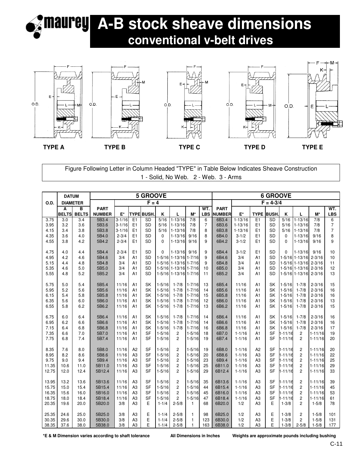### **A-B stock sheave dimensions** Iaurey  **conventional v-belt drives**



Figure Following Letter in Column Headed "TYPE" in Table Below Indicates Sheave Construction 1 - Solid, No Web. 2 - Web. 3 - Arms

|              | <b>5 GROOVE</b><br><b>DATUM</b> |                 |                |                         |                                  |                        |             |                            |              |                |                | <b>6 GROOVE</b>          |                      |                 |                     |                            |             |                     |  |  |  |
|--------------|---------------------------------|-----------------|----------------|-------------------------|----------------------------------|------------------------|-------------|----------------------------|--------------|----------------|----------------|--------------------------|----------------------|-----------------|---------------------|----------------------------|-------------|---------------------|--|--|--|
| O.D.         |                                 | <b>DIAMETER</b> |                |                         |                                  | $F = 4$                |             |                            |              |                |                |                          |                      | $F = 4 - 3/4$   |                     |                            |             |                     |  |  |  |
|              | A                               | в               | <b>PART</b>    |                         |                                  |                        |             |                            |              | WT.            | <b>PART</b>    |                          |                      |                 |                     |                            |             | WT.                 |  |  |  |
|              | <b>BELTS</b>                    | <b>BELTS</b>    | <b>NUMBER</b>  | E*                      |                                  | <b>TYPE BUSH</b>       | Κ           | L.                         | $M^*$        | <b>LBS</b>     | <b>NUMBER</b>  | $\mathsf{E}^\star$       | <b>TYPE</b>          | <b>BUSH.</b>    | K                   | г                          | $M^*$       | <b>LBS</b>          |  |  |  |
| 3.75         | 3.0                             | 3.4             | 5B3.4          | $3 - 1/16$              | E <sub>1</sub>                   | SD                     | 5/16        | $1 - 13/16$                | 7/8          | 6              | 6B3.4          | $1 - 13/16$              | E <sub>1</sub>       | <b>SD</b>       | $\overline{5/16}$   | $1 - 13/16$                | 7/8         | 6                   |  |  |  |
| 3.95         | 3.2                             | 3.6             | 5B3.6<br>5B3.8 | $3 - 1/16$              | E <sub>1</sub><br>E <sub>1</sub> | <b>SD</b><br><b>SD</b> | 5/16        | $1 - 13/16$<br>$1 - 13/16$ | 7/8          | $\overline{7}$ | 6B3.6<br>6B3.8 | $1 - 13/16$              | E1                   | <b>SD</b>       | 5/16                | $1 - 13/16$                | 7/8         | $\overline{7}$      |  |  |  |
| 4.15<br>4.35 | 3.4<br>3.6                      | 3.8<br>4.0      | 5B4.0          | $3 - 1/16$<br>$2 - 3/4$ | E <sub>1</sub>                   | SD                     | 5/16<br>0   | $1 - 13/16$                | 7/8<br>9/16  | 8<br>8         | 6B4.0          | $1 - 13/16$<br>$3 - 1/2$ | E1<br>E <sub>1</sub> | <b>SD</b><br>SD | 5/16<br>$\mathbf 0$ | $1 - 13/16$<br>$1 - 13/16$ | 7/8<br>9/16 | $\overline{7}$<br>8 |  |  |  |
| 4.55         | 3.8                             | 4.2             | 5B4.2          | $2 - 3/4$               | E <sub>1</sub>                   | <b>SD</b>              | $\mathbf 0$ | $1 - 13/16$                | 9/16         | 9              | 6B4.2          | $3 - 1/2$                | E1                   | SD              | $\Omega$            | $1 - 13/16$                | 9/16        | 9                   |  |  |  |
|              |                                 |                 |                |                         |                                  |                        |             |                            |              |                |                |                          |                      |                 |                     |                            |             |                     |  |  |  |
| 4.75         | 4.0                             | 4.4             | 5B4.4          | $2 - 3/4$               | E <sub>1</sub>                   | <b>SD</b>              | $\Omega$    | $1 - 13/16$                | 9/16         | 9              | 6B4.4          | $3 - 1/2$                | E1                   | <b>SD</b>       | $\Omega$            | $1 - 13/16$                | 9/16        | 10                  |  |  |  |
| 4.95         | 4.2                             | 4.6             | 5B4.6          | 3/4                     | A <sub>1</sub>                   | SD                     |             | 1-5/16 1-13/16 1-7/16      |              | 9              | 6B4.6          | 3/4                      | A1                   | <b>SD</b>       |                     | 1-5/16 1-13/16 2-3/16      |             | 10                  |  |  |  |
| 5.15         | 4.4                             | 4.8             | 5B4.8          | 3/4                     | A <sub>1</sub>                   | <b>SD</b>              |             | 1-5/16 1-13/16 1-7/16      |              | 9              | 6B4.8          | 3/4                      | A1                   | <b>SD</b>       |                     | 1-5/16 1-13/16 2-3/16      |             | 11                  |  |  |  |
| 5.35         | 4.6                             | 5.0             | 5B5.0          | 3/4                     | A1                               | <b>SD</b>              |             | 1-5/16 1-13/16 1-7/16      |              | 10             | 6B5.0          | 3/4                      | A1                   | <b>SD</b>       |                     | 1-5/16 1-13/16 2-3/16      |             | 12                  |  |  |  |
| 5.55         | 4.8                             | 5.2             | 5B5.2          | 3/4                     | A <sub>1</sub>                   | <b>SD</b>              |             | 1-5/16 1-13/16 1-7/16      |              | 11             | 6B5.2          | 3/4                      | A1                   | <b>SD</b>       |                     | 1-5/16 1-13/16 2-3/16      |             | 13                  |  |  |  |
|              |                                 |                 |                |                         |                                  |                        |             |                            |              |                |                |                          |                      |                 |                     |                            |             |                     |  |  |  |
| 5.75         | 5.0                             | 5.4             | 5B5.4          | 11/16                   | A1                               | SK                     | $1 - 5/16$  | $1 - 7/8$                  | $1 - 7/16$   | 13             | 6B5.4          | 11/16                    | A1                   | <b>SK</b>       | $1 - 5/16$          | $1 - 7/8$                  | $2 - 3/16$  | 15                  |  |  |  |
| 5.95         | 5.2                             | 5.6             | 5B5.6          | 11/16                   | A <sub>1</sub>                   | SK                     | $1 - 5/16$  | $1 - 7/8$                  | $1 - 7/16$   | 14             | 6B5.6          | 11/16                    | A1                   | <b>SK</b>       | $1 - 5/16$          | $1 - 7/8$                  | $2 - 3/16$  | 16                  |  |  |  |
| 6.15         | 5.4                             | 5.8             | 5B5.8          | 11/16                   | A <sub>1</sub>                   | <b>SK</b>              | $1 - 5/16$  | $1 - 7/8$                  | $1 - 7/16$   | 15             | 6B5.8          | 11/16                    | A1                   | <b>SK</b>       | $1 - 5/16$          | $1 - 7/8$                  | $2 - 3/16$  | 16                  |  |  |  |
| 6.35         | 5.6                             | 6.0             | 5B6.0          | 11/16                   | A1                               | <b>SK</b>              | $1 - 5/16$  | $1 - 7/8$                  | $1 - 7/16$   | 12             | 6B6.0          | 11/16                    | A1                   | <b>SK</b>       | $1 - 5/16$          | $1 - 7/8$                  | $2 - 3/16$  | 13                  |  |  |  |
| 6.55         | 5.8                             | 6.2             | 5B6.2          | 11/16                   | A <sub>1</sub>                   | <b>SK</b>              | $1 - 5/16$  | $1 - 7/8$                  | $1 - 7/16$   | 13             | 6B6.2          | 11/16                    | A1                   | <b>SK</b>       | $1 - 5/16$          | $1 - 7/8$                  | $2 - 3/16$  | 15                  |  |  |  |
| 6.75         | 6.0                             | 6.4             | 5B6.4          | 11/16                   | A1                               | SK                     | $1 - 5/16$  | $1 - 7/8$                  | $1 - 7/16$   | 14             | 6B6.4          | 11/16                    | A1                   | <b>SK</b>       | $1 - 5/16$          | $1 - 7/8$                  | $2 - 3/16$  | 16                  |  |  |  |
| 6.95         | 6.2                             | 6.6             | 5B6.6          | 11/16                   | A <sub>1</sub>                   | <b>SK</b>              | $1 - 5/16$  | $1 - 7/8$                  | $1 - 7/16$   | 14             | 6B6.6          | 11/16                    | A <sub>1</sub>       | <b>SK</b>       | $1 - 5/16$          | $1 - 7/8$                  | $2 - 3/16$  | 16                  |  |  |  |
| 7.15         | 6.4                             | 6.8             | 5B6.8          | 11/16                   | A1                               | <b>SK</b>              | $1 - 5/16$  | $1 - 7/8$                  | $1 - 7/16$   | 16             | 6B6.8          | 11/16                    | A1                   | <b>SK</b>       | $1 - 5/16$          | $1 - 7/8$                  | $2 - 3/16$  | 17                  |  |  |  |
| 7.35         | 6.6                             | 7.0             | 5B7.0          | 11/16                   | A1                               | <b>SF</b>              | $1 - 5/16$  | $\overline{2}$             | $1 - 5/16$   | 18             | 6B7.0          | $1 - 1/16$               | A <sub>1</sub>       | <b>SF</b>       | $1 - 11/16$         | 2                          | $1 - 11/16$ | 19                  |  |  |  |
| 7.75         | 6.8                             | 7.4             | 5B7.4          | 11/16                   | A <sub>1</sub>                   | <b>SF</b>              | $1 - 5/16$  | $\overline{2}$             | $1 - 5/16$   | 19             | 6B7.4          | $1 - 1/16$               | A1                   | <b>SF</b>       | $1 - 11/16$         | $\overline{c}$             | $1 - 11/16$ | 20                  |  |  |  |
|              |                                 |                 |                |                         |                                  |                        |             |                            |              |                |                |                          |                      |                 |                     |                            |             |                     |  |  |  |
| 8.35         | 7.6                             | 8.0             | 5B8.0          | 11/16                   | A <sub>2</sub>                   | <b>SF</b>              | $1 - 5/16$  | $\overline{c}$             | $1 - 5/16$   | 19             | 6B8.0          | $1 - 1/16$               | A <sub>2</sub>       | <b>SF</b>       | $1 - 11/16$         | $\overline{c}$             | $1 - 11/16$ | 20                  |  |  |  |
| 8.95         | 8.2                             | 8.6             | 5B8.6          | 11/16                   | A3                               | <b>SF</b>              | $1 - 5/16$  | $\overline{2}$             | $1 - 5/16$   | 20             | 6B8.6          | $1 - 1/16$               | A <sub>3</sub>       | <b>SF</b>       | $1 - 11/16$         | $\overline{c}$             | $1 - 11/16$ | 22                  |  |  |  |
| 9.75         | 9.0                             | 9.4             | 5B9.4          | 11/16                   | A <sub>3</sub>                   | <b>SF</b>              | $1 - 5/16$  | $\overline{c}$             | $1 - 5/16$   | 23             | 6B9.4          | $1 - 1/16$               | A <sub>3</sub>       | <b>SF</b>       | $1 - 11/16$         | $\overline{c}$             | $1 - 11/16$ | 25                  |  |  |  |
| 11.35        | 10.6                            | 11.0            | 5B11.0         | 11/16                   | A <sub>3</sub>                   | <b>SF</b>              | $1 - 5/16$  | $\overline{c}$             | $1 - 5/16$   | 25             | 6B11.0         | $1 - 1/16$               | A <sub>3</sub>       | <b>SF</b>       | $1 - 11/16$         | 2                          | $1 - 11/16$ | 29                  |  |  |  |
| 12.75        | 12.0                            | 12.4            | 5B12.4         | 11/16                   | A3                               | <b>SF</b>              | $1 - 5/16$  | $\overline{2}$             | $1 - 5/16$   | 29             | 6B12.4         | $1 - 1/16$               | A <sub>3</sub>       | <b>SF</b>       | $1 - 11/16$         | $\overline{c}$             | $1 - 11/16$ | 33                  |  |  |  |
| 13.95        | 13.2                            | 13.6            | 5B13.6         | 11/16                   | A3                               | <b>SF</b>              | $1 - 5/16$  | $\overline{c}$             | $1 - 5/16$   | 35             | 6B13.6         | $1 - 1/16$               | A <sub>3</sub>       | <b>SF</b>       | $1 - 11/16$         | $\overline{c}$             | $1 - 11/16$ | 39                  |  |  |  |
| 15.75        | 15.0                            | 15.4            | 5B15.4         | 11/16                   | A <sub>3</sub>                   | <b>SF</b>              | $1 - 5/16$  | $\overline{c}$             | $1 - 5/16$   | 44             | 6B15.4         | $1 - 1/16$               | A <sub>3</sub>       | <b>SF</b>       | $1 - 11/16$         | 2                          | $1 - 11/16$ | 45                  |  |  |  |
| 16.35        | 15.6                            | 16.0            | 5B16.0         | 11/16                   | A <sub>3</sub>                   | <b>SF</b>              | $1 - 5/16$  | $\overline{2}$             | $1 - 5/16$   | 45             | 6B16.0         | $1 - 1/16$               | A <sub>3</sub>       | <b>SF</b>       | $1 - 11/16$         | $\overline{c}$             | $1 - 11/16$ | 53                  |  |  |  |
| 18.75        | 18.0                            | 18.4            | 5B18.4         | 11/16                   | A <sub>3</sub>                   | <b>SF</b>              | $1 - 5/16$  | $\overline{2}$             | $1 - 5/16$   | 47             | 6B18.4         | $1 - 1/16$               | A <sub>3</sub>       | <b>SF</b>       | $1 - 11/16$         | $\overline{c}$             | $1 - 11/16$ | 61                  |  |  |  |
| 20.35        | 19.6                            | 20.0            | 5B20.0         | 3/8                     | A <sub>3</sub>                   | E                      | $1 - 1/4$   | $2 - 5/8$                  | $\mathbf{1}$ | 68             | 6B20.0         | 1/2                      | A <sub>3</sub>       | Е               | $1 - 3/8$           | $\overline{2}$             | $1 - 5/8$   | 78                  |  |  |  |
|              |                                 |                 |                |                         |                                  |                        |             |                            |              |                |                |                          |                      |                 |                     |                            |             |                     |  |  |  |
| 25.35        | 24.6                            | 25.0            | 5B25.0         | 3/8                     | A <sub>3</sub>                   | Ε                      | $1 - 1/4$   | $2 - 5/8$                  | 1            | 98             | 6B25.0         | 1/2                      | A <sub>3</sub>       | E               | $1 - 3/8$           | 2                          | $1 - 5/8$   | 101                 |  |  |  |
| 30.35        | 29.6                            | 30.0            | 5B30.0         | 3/8                     | A <sub>3</sub>                   | E                      | $1 - 1/4$   | $2 - 5/8$                  | $\mathbf{1}$ | 123            | 6B30.0         | 1/2                      | A <sub>3</sub>       | E               | $1 - 3/8$           | $\overline{c}$             | $1 - 5/8$   | 131                 |  |  |  |
| 38.35        | 37.6                            | 38.0            | 5B38.0         | 3/8                     | A <sub>3</sub>                   | E                      | $1 - 1/4$   | $2 - 5/8$                  | $\mathbf{1}$ | 163            | 6B38.0         | 1/2                      | A <sub>3</sub>       | E               | $1 - 3/8$           | $2 - 5/8$                  | $1 - 5/8$   | 177                 |  |  |  |

**\*E & M Dimension varies according to shaft tolerance All Dimensions in Inches Weights are approximate pounds including bushing**